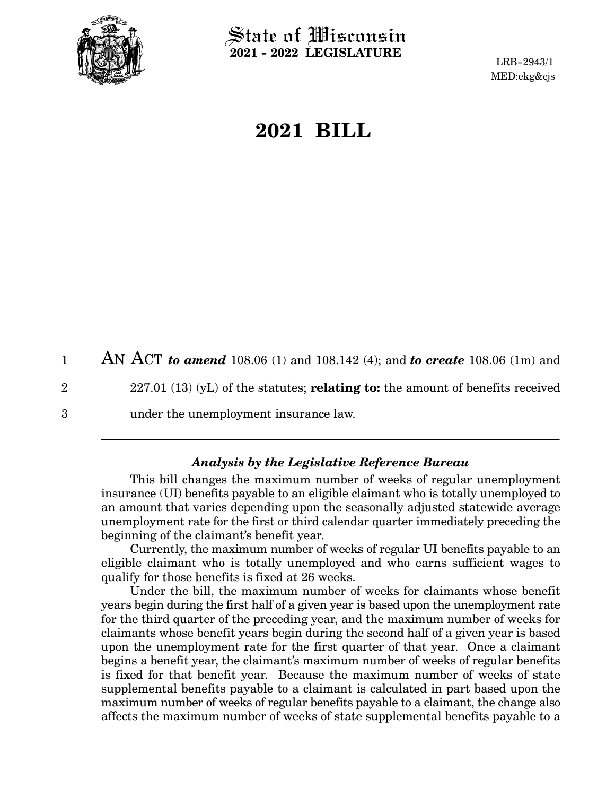

 $\operatorname{\mathsf{State}}$  of Wisconsin **2021 - 2022 LEGISLATURE**

LRB-2943/1 MED:ekg&cjs

# **2021 BILL**

AN ACT *to amend* 108.06 (1) and 108.142 (4); and *to create* 108.06 (1m) and 227.01 (13) (yL) of the statutes; **relating to:** the amount of benefits received under the unemployment insurance law. 1 2 3

#### *Analysis by the Legislative Reference Bureau*

This bill changes the maximum number of weeks of regular unemployment insurance (UI) benefits payable to an eligible claimant who is totally unemployed to an amount that varies depending upon the seasonally adjusted statewide average unemployment rate for the first or third calendar quarter immediately preceding the beginning of the claimant's benefit year.

Currently, the maximum number of weeks of regular UI benefits payable to an eligible claimant who is totally unemployed and who earns sufficient wages to qualify for those benefits is fixed at 26 weeks.

Under the bill, the maximum number of weeks for claimants whose benefit years begin during the first half of a given year is based upon the unemployment rate for the third quarter of the preceding year, and the maximum number of weeks for claimants whose benefit years begin during the second half of a given year is based upon the unemployment rate for the first quarter of that year. Once a claimant begins a benefit year, the claimant's maximum number of weeks of regular benefits is fixed for that benefit year. Because the maximum number of weeks of state supplemental benefits payable to a claimant is calculated in part based upon the maximum number of weeks of regular benefits payable to a claimant, the change also affects the maximum number of weeks of state supplemental benefits payable to a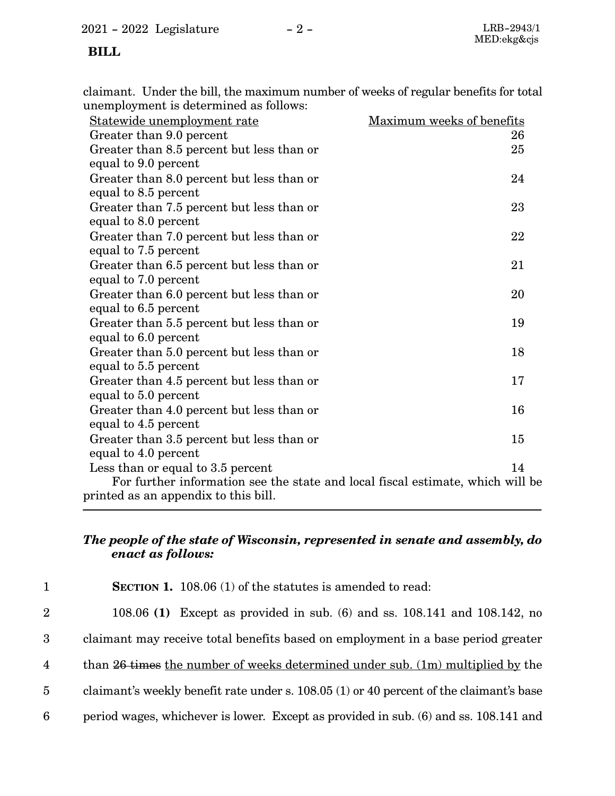## **BILL**

claimant. Under the bill, the maximum number of weeks of regular benefits for total unemployment is determined as follows:

| Statewide unemployment rate                                                    | Maximum weeks of benefits |
|--------------------------------------------------------------------------------|---------------------------|
| Greater than 9.0 percent                                                       | 26                        |
| Greater than 8.5 percent but less than or                                      | 25                        |
| equal to 9.0 percent                                                           |                           |
| Greater than 8.0 percent but less than or                                      | 24                        |
| equal to 8.5 percent                                                           |                           |
| Greater than 7.5 percent but less than or                                      | 23                        |
| equal to 8.0 percent                                                           |                           |
| Greater than 7.0 percent but less than or                                      | 22                        |
| equal to 7.5 percent                                                           |                           |
| Greater than 6.5 percent but less than or                                      | 21                        |
| equal to 7.0 percent                                                           |                           |
| Greater than 6.0 percent but less than or                                      | 20                        |
| equal to 6.5 percent                                                           |                           |
| Greater than 5.5 percent but less than or                                      | 19                        |
| equal to 6.0 percent                                                           |                           |
| Greater than 5.0 percent but less than or                                      | 18                        |
| equal to 5.5 percent                                                           |                           |
| Greater than 4.5 percent but less than or                                      | 17                        |
| equal to 5.0 percent                                                           |                           |
| Greater than 4.0 percent but less than or                                      | 16                        |
| equal to 4.5 percent                                                           |                           |
| Greater than 3.5 percent but less than or                                      | 15                        |
| equal to 4.0 percent                                                           |                           |
| Less than or equal to 3.5 percent                                              | 14                        |
| For further information see the state and local fiscal estimate, which will be |                           |
| printed as an appendix to this bill.                                           |                           |

## *The people of the state of Wisconsin, represented in senate and assembly, do enact as follows:*

| 1              | <b>SECTION 1.</b> 108.06 (1) of the statutes is amended to read:                        |
|----------------|-----------------------------------------------------------------------------------------|
| 2 <sup>1</sup> | 108.06 (1) Except as provided in sub. (6) and ss. 108.141 and 108.142, no               |
| 3              | claimant may receive total benefits based on employment in a base period greater        |
| $\overline{4}$ | than 26 times the number of weeks determined under sub. (1m) multiplied by the          |
| $\overline{5}$ | claimant's weekly benefit rate under s. 108.05 (1) or 40 percent of the claimant's base |
| 6              | period wages, whichever is lower. Except as provided in sub. (6) and ss. 108.141 and    |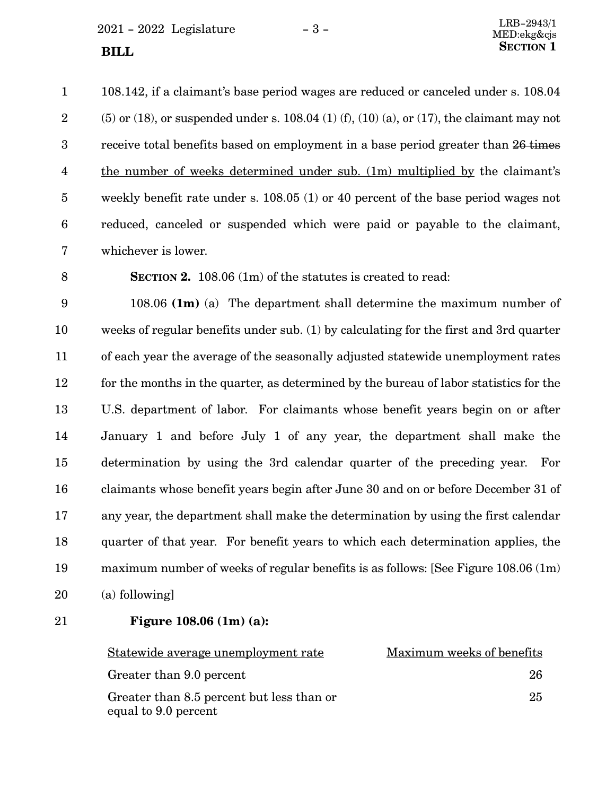$2021 - 2022$  Legislature  $-3 -$ 

108.142, if a claimant's base period wages are reduced or canceled under s. 108.04  $(5)$  or (18), or suspended under s. 108.04 (1) (f), (10) (a), or (17), the claimant may not receive total benefits based on employment in a base period greater than 26 times the number of weeks determined under sub. (1m) multiplied by the claimant's weekly benefit rate under s. 108.05 (1) or 40 percent of the base period wages not reduced, canceled or suspended which were paid or payable to the claimant, whichever is lower. 1 2 3 4 5 6 7

8

**SECTION 2.** 108.06 (1m) of the statutes is created to read:

108.06 **(1m)** (a) The department shall determine the maximum number of weeks of regular benefits under sub. (1) by calculating for the first and 3rd quarter of each year the average of the seasonally adjusted statewide unemployment rates for the months in the quarter, as determined by the bureau of labor statistics for the U.S. department of labor. For claimants whose benefit years begin on or after January 1 and before July 1 of any year, the department shall make the determination by using the 3rd calendar quarter of the preceding year. For claimants whose benefit years begin after June 30 and on or before December 31 of any year, the department shall make the determination by using the first calendar quarter of that year. For benefit years to which each determination applies, the maximum number of weeks of regular benefits is as follows: [See Figure 108.06 (1m) (a) following] 9 10 11 12 13 14 15 16 17 18 19 20

21

#### **Figure 108.06 (1m) (a):**

| Statewide average unemployment rate                               | Maximum weeks of benefits |
|-------------------------------------------------------------------|---------------------------|
| Greater than 9.0 percent                                          | 26                        |
| Greater than 8.5 percent but less than or<br>equal to 9.0 percent | 25                        |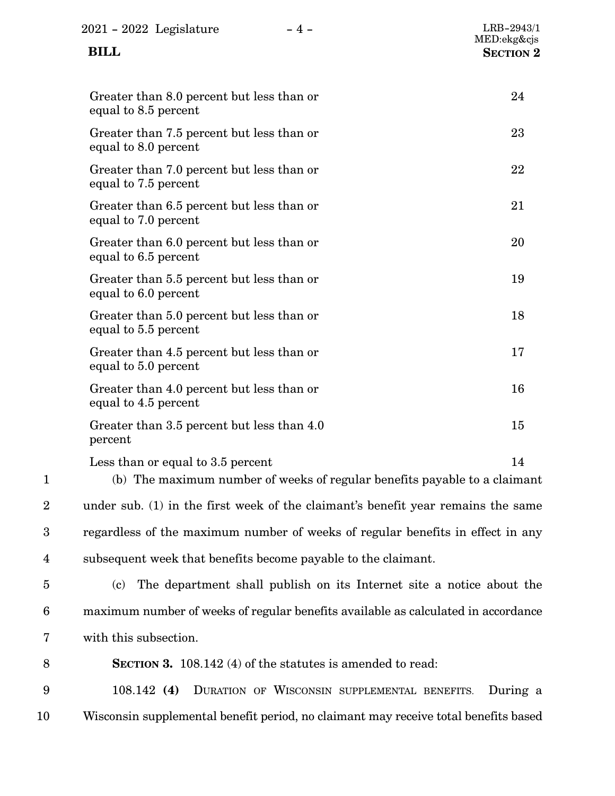| $2021 - 2022$ Legislature<br>$-4-$<br><b>BILL</b>                 | $LRB-2943/1$<br>MED:ekg&cjs<br><b>SECTION 2</b> |
|-------------------------------------------------------------------|-------------------------------------------------|
| Greater than 8.0 percent but less than or<br>equal to 8.5 percent | 24                                              |
| Greater than 7.5 percent but less than or<br>equal to 8.0 percent | 23                                              |
| Greater than 7.0 percent but less than or<br>equal to 7.5 percent | 22                                              |
| Greater than 6.5 percent but less than or<br>equal to 7.0 percent | 21                                              |
| Greater than 6.0 percent but less than or<br>equal to 6.5 percent | 20                                              |
| Greater than 5.5 percent but less than or<br>equal to 6.0 percent | 19                                              |
| Greater than 5.0 percent but less than or<br>equal to 5.5 percent | 18                                              |
| Greater than 4.5 percent but less than or<br>equal to 5.0 percent | 17                                              |
| Greater than 4.0 percent but less than or<br>equal to 4.5 percent | 16                                              |
| Greater than 3.5 percent but less than 4.0<br>percent             | 15                                              |

Less than or equal to 3.5 percent 14

(b) The maximum number of weeks of regular benefits payable to a claimant under sub. (1) in the first week of the claimant's benefit year remains the same regardless of the maximum number of weeks of regular benefits in effect in any subsequent week that benefits become payable to the claimant. 1 2 3 4

(c) The department shall publish on its Internet site a notice about the maximum number of weeks of regular benefits available as calculated in accordance with this subsection. 5 6 7

- **SECTION 3.** 108.142 (4) of the statutes is amended to read: 8
- 108.142 **(4)** DURATION OF WISCONSIN SUPPLEMENTAL BENEFITS. During a Wisconsin supplemental benefit period, no claimant may receive total benefits based 9 10